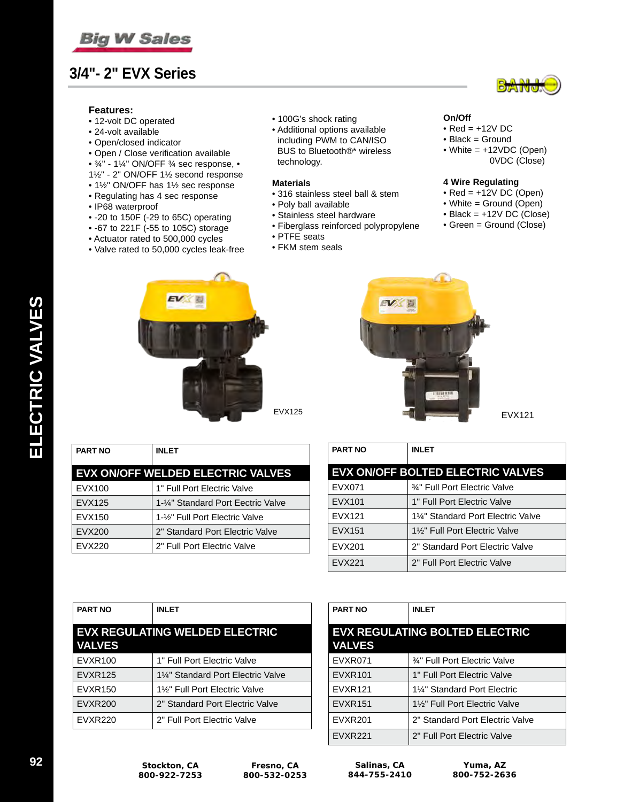

## **3/4"- 2" EVX Series**

### **Features:**

- 12-volt DC operated
- 24-volt available
- Open/closed indicator
- Open / Close verification available
- ¾" 1¼" ON/OFF ¾ sec response, •
- 1½" 2" ON/OFF 1½ second response
- 1½" ON/OFF has 1½ sec response
- Regulating has 4 sec response
- IP68 waterproof
- -20 to 150F (-29 to 65C) operating
- -67 to 221F (-55 to 105C) storage
- Actuator rated to 500,000 cycles
- Valve rated to 50,000 cycles leak-free
- 100G's shock rating
- Additional options available including PWM to CAN/ISO BUS to Bluetooth®\* wireless technology.

#### **Materials**

- 316 stainless steel ball & stem
- Poly ball available
- Stainless steel hardware
- Fiberglass reinforced polypropylene
- PTFE seats
- FKM stem seals



#### **On/Off**

- $\bullet$  Red =  $+12V$  DC
- Black = Ground
- White = +12VDC (Open) 0VDC (Close)

#### **4 Wire Regulating**

- $\bullet$  Red =  $+12V$  DC (Open)
- White = Ground (Open)
- Black = +12V DC (Close)
- Green = Ground (Close)





EVX121

| <b>PART NO</b> | INI FT                                   |
|----------------|------------------------------------------|
|                | <b>EVX ON/OFF WELDED ELECTRIC VALVES</b> |
| EVX100         | 1" Full Port Electric Valve              |
| <b>EVX125</b>  | 1-¼" Standard Port Eectric Valve         |
| EVX150         | 1-1/2" Full Port Electric Valve          |
| EVX200         | 2" Standard Port Electric Valve          |
| EVX220         | 2" Full Port Electric Valve              |

| <b>PART NO</b> | <b>INLET</b>                             |
|----------------|------------------------------------------|
|                | <b>EVX ON/OFF BOLTED ELECTRIC VALVES</b> |
| EVX071         | 34" Full Port Electric Valve             |
| EVX101         | 1" Full Port Electric Valve              |
| <b>EVX121</b>  | 1¼" Standard Port Electric Valve         |
| EVX151         | 1%" Full Port Electric Valve             |
| EVX201         | 2" Standard Port Electric Valve          |
| <b>EVX221</b>  | 2" Full Port Electric Valve              |

| <b>PART NO</b> | <b>INLET</b>                          |
|----------------|---------------------------------------|
| <b>VALVES</b>  | <b>EVX REGULATING WELDED ELECTRIC</b> |
| EVXR100        | 1" Full Port Electric Valve           |
| <b>EVXR125</b> | 1¼" Standard Port Electric Valve      |
| EVXR150        | 1%" Full Port Electric Valve          |
| <b>EVXR200</b> | 2" Standard Port Electric Valve       |
| <b>EVXR220</b> | 2" Full Port Electric Valve           |

| <b>PART NO</b> | <b>INLET</b>                          |
|----------------|---------------------------------------|
| <b>VALVES</b>  | <b>EVX REGULATING BOLTED ELECTRIC</b> |
| EVXR071        | 3⁄4" Full Port Electric Valve         |
| <b>EVXR101</b> | 1" Full Port Flectric Valve           |
| <b>EVXR121</b> | 11/4" Standard Port Electric          |
| <b>EVXR151</b> | 1%" Full Port Electric Valve          |
| <b>EVXR201</b> | 2" Standard Port Electric Valve       |
| <b>EVXR221</b> | 2" Full Port Electric Valve           |

**Salinas, CA 844-755-2410**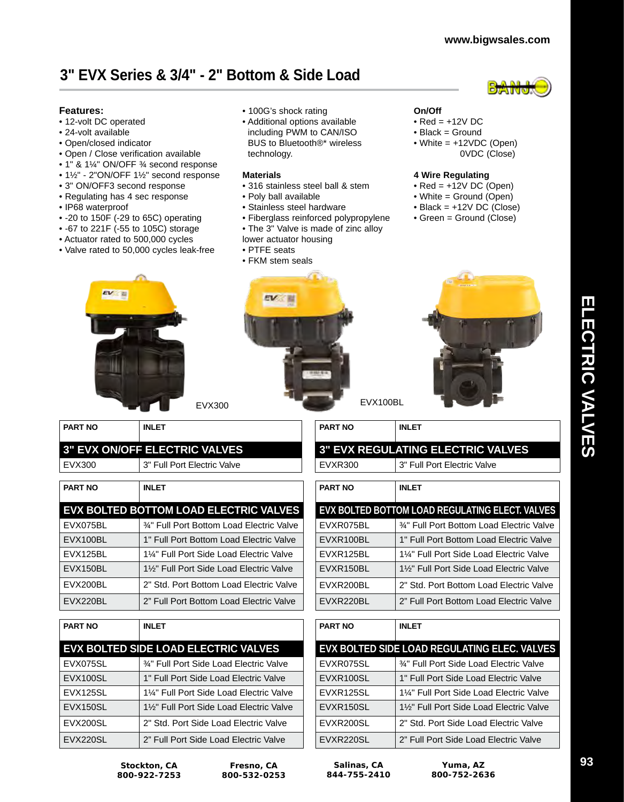# **3" EVX Series & 3/4" - 2" Bottom & Side Load**

### **Features:**

- 12-volt DC operated
- 24-volt available
- Open/closed indicator
- Open / Close verification available
- 1" & 1¼" ON/OFF ¾ second response
- 1½" 2"ON/OFF 1½" second response
- 3" ON/OFF3 second response
- Regulating has 4 sec response

EV E

**PART NO INLET**

- IP68 waterproof
- -20 to 150F (-29 to 65C) operating
- -67 to 221F (-55 to 105C) storage
- Actuator rated to 500,000 cycles
- Valve rated to 50,000 cycles leak-free
- 100G's shock rating
- Additional options available including PWM to CAN/ISO BUS to Bluetooth®\* wireless technology.

### **Materials**

- 316 stainless steel ball & stem
- Poly ball available
- Stainless steel hardware
- Fiberglass reinforced polypropylene
- The 3" Valve is made of zinc alloy
- lower actuator housing
- PTFE seats





- Black = Ground
- White = +12VDC (Open) 0VDC (Close)

### **4 Wire Regulating**

- $\bullet$  Red =  $+12V$  DC (Open)
- White = Ground (Open)
- $\bullet$  Black =  $+12V$  DC (Close)
- Green = Ground (Close)



| <b>3" EVX ON/OFF ELECTRIC VALVES</b> |                                           |  |
|--------------------------------------|-------------------------------------------|--|
| EVX300                               | 3" Full Port Electric Valve               |  |
|                                      |                                           |  |
| <b>PART NO</b>                       | <b>INLET</b>                              |  |
|                                      | EVX BOLTED BOTTOM LOAD ELECTRIC VALVES    |  |
| EVX075BL                             | 3/4" Full Port Bottom Load Electric Valve |  |
| EVX100BL                             | 1" Full Port Bottom Load Electric Valve   |  |
| EVX125BL                             | 1¼" Full Port Side Load Electric Valve    |  |
| EVX150BL                             | 1%" Full Port Side Load Electric Valve    |  |
| EVX200BL                             | 2" Std. Port Bottom Load Electric Valve   |  |
| EVX220BL                             | 2" Full Port Bottom Load Electric Valve   |  |

| <b>PART NO</b> | <b>INLET</b>                                        |
|----------------|-----------------------------------------------------|
|                | EVX BOLTED SIDE LOAD ELECTRIC VALVES                |
| EVX075SL       | 3⁄4" Full Port Side Load Electric Valve             |
| EVX100SL       | 1" Full Port Side Load Electric Valve               |
| EVX125SL       | 1 <sup>1/2</sup> Full Port Side Load Electric Valve |
| EVX150SL       | 11/2" Full Port Side Load Electric Valve            |
| EVX200SL       | 2" Std. Port Side Load Electric Valve               |
| EVX220SL       | 2" Full Port Side Load Electric Valve               |

**Stockton, CA 800-922-7253**

| Fresno, CA<br>800-532-0253 | Salinas, CA<br>844-755-2410 | Yuma, AZ<br>800-752-2636              |
|----------------------------|-----------------------------|---------------------------------------|
| ad Electric Valve          | EVXR220SL                   | 2" Full Port Side Load Electric Valve |
| ad Electric Valve          | EVXR200SL                   | 2" Std. Port Side Load Electric Valve |

EVXR150SL 1½" Full Port Side Load Electric Valve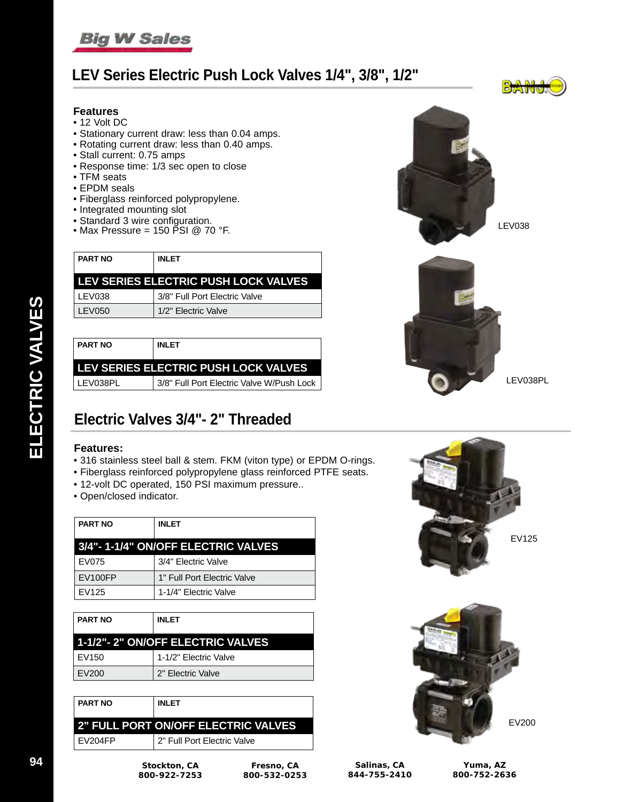

# **LEV Series Electric Push Lock Valves 1/4", 3/8", 1/2"**

## **Features**

- 12 Volt DC
- Stationary current draw: less than 0.04 amps.
- Rotating current draw: less than 0.40 amps.
- Stall current: 0.75 amps
- Response time: 1/3 sec open to close
- TFM seats
- EPDM seals
- Fiberglass reinforced polypropylene.
- Integrated mounting slot
- 
- 

| <b>PART NO</b> | <b>INLET</b>                         |
|----------------|--------------------------------------|
|                | LEV SERIES ELECTRIC PUSH LOCK VALVES |
| I LEV038       | 3/8" Full Port Electric Valve        |
| LEV050         | 1/2" Electric Valve                  |
|                |                                      |

| <b>PART NO</b> | <b>INLET</b>                              |
|----------------|-------------------------------------------|
|                | LEV SERIES ELECTRIC PUSH LOCK VALVES      |
| ∣ LEV038PL     | 3/8" Full Port Electric Valve W/Push Lock |





# **Electric Valves 3/4"- 2" Threaded**

### **Features:**

- 316 stainless steel ball & stem. FKM (viton type) or EPDM O-rings.
- Fiberglass reinforced polypropylene glass reinforced PTFE seats.
- 12-volt DC operated, 150 PSI maximum pressure..
- Open/closed indicator.

| <b>PART NO</b>                     | <b>INLET</b>                |
|------------------------------------|-----------------------------|
| 3/4"-1-1/4" ON/OFF ELECTRIC VALVES |                             |
| EV075                              | 3/4" Electric Valve         |
| EV100FP                            | 1" Full Port Electric Valve |
| EV125                              | 1-1/4" Electric Valve       |

| <b>PART NO</b>                   | <b>INLET</b>          |
|----------------------------------|-----------------------|
| 1-1/2"-2" ON/OFF ELECTRIC VALVES |                       |
| EV150                            | 1-1/2" Electric Valve |
| EV200                            | 2" Electric Valve     |

| <b>PART NO</b> | <b>INLET</b>                               |
|----------------|--------------------------------------------|
|                | <b>2" FULL PORT ON/OFF ELECTRIC VALVES</b> |
| I EV204FP      | 2" Full Port Electric Valve                |

**Fresno, CA 800-532-0253**

**800-922-7253**





| Salinas, CA  |  |
|--------------|--|
| 844-755-2410 |  |

**Yuma, AZ 800-752-2636**

ELECTRIC VALVES **ELECTRIC VALVES**

**94 Stockton, CA**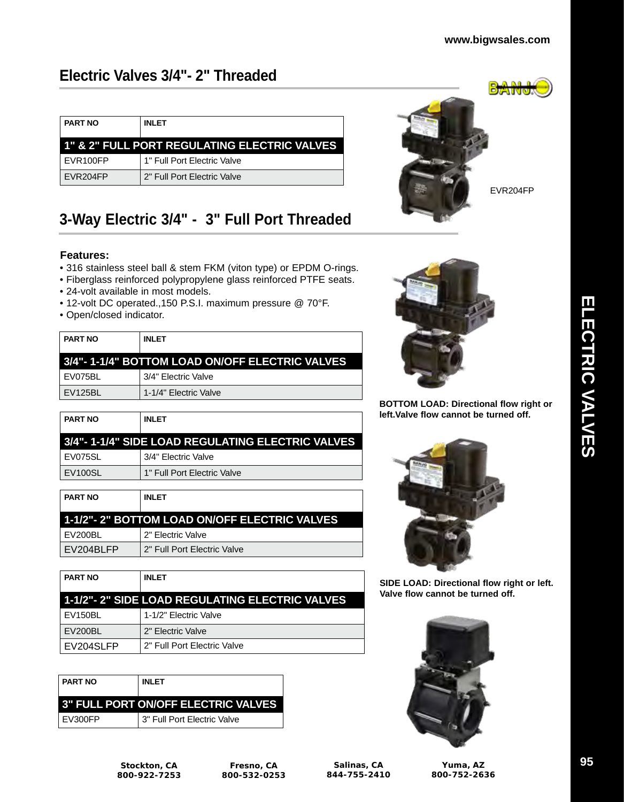EVR204FP

# **Electric Valves 3/4"- 2" Threaded**

| <b>PART NO</b> | <b>INLET</b>                                 |
|----------------|----------------------------------------------|
|                | 1" & 2" FULL PORT REGULATING ELECTRIC VALVES |
| EVR100FP       | 1" Full Port Electric Valve                  |
| EVR204FP       | 2" Full Port Flectric Valve                  |

# **3-Way Electric 3/4" - 3" Full Port Threaded**

## **Features:**

- 316 stainless steel ball & stem FKM (viton type) or EPDM O-rings.
- Fiberglass reinforced polypropylene glass reinforced PTFE seats.
- 24-volt available in most models.
- 12-volt DC operated.,150 P.S.I. maximum pressure @ 70°F.
- Open/closed indicator.

| <b>PART NO</b> | <b>INLET</b>                                    |
|----------------|-------------------------------------------------|
|                | 3/4"- 1-1/4" BOTTOM LOAD ON/OFF ELECTRIC VALVES |
| EV075BL        | 3/4" Electric Valve                             |
| EV125BL        | 1-1/4" Electric Valve                           |

| <b>PART NO</b>      | <b>INLET</b>                                          |
|---------------------|-------------------------------------------------------|
|                     | ∣ 3/4"- 1-1/4" SIDE LOAD REGULATING ELECTRIC VALVES I |
| EV075SL             | 3/4" Electric Valve                                   |
| EV <sub>100SL</sub> | 1" Full Port Electric Valve                           |

| <b>PART NO</b> | <b>INLET</b>                                  |
|----------------|-----------------------------------------------|
|                | 1-1/2"- 2" BOTTOM LOAD ON/OFF ELECTRIC VALVES |
| EV200BL        | 2" Electric Valve                             |
| EV204BLFP      | 2" Full Port Electric Valve                   |

| <b>PART NO</b> | <b>INLET</b>                                   |
|----------------|------------------------------------------------|
|                | 1-1/2"-2" SIDE LOAD REGULATING ELECTRIC VALVES |
| EV150BL        | 1-1/2" Electric Valve                          |
| <b>EV200BL</b> | 2" Electric Valve                              |
| EV204SLFP      | 2" Full Port Electric Valve                    |

| <b>PART NO</b>                             | <b>INLET</b> |  |
|--------------------------------------------|--------------|--|
| <b>3" FULL PORT ON/OFF ELECTRIC VALVES</b> |              |  |
| 3" Full Port Electric Valve<br>EV300FP     |              |  |



**BOTTOM LOAD: Directional flow right or left.Valve flow cannot be turned off.**



**SIDE LOAD: Directional flow right or left. Valve flow cannot be turned off.**



**Stockton, CA 800-922-7253**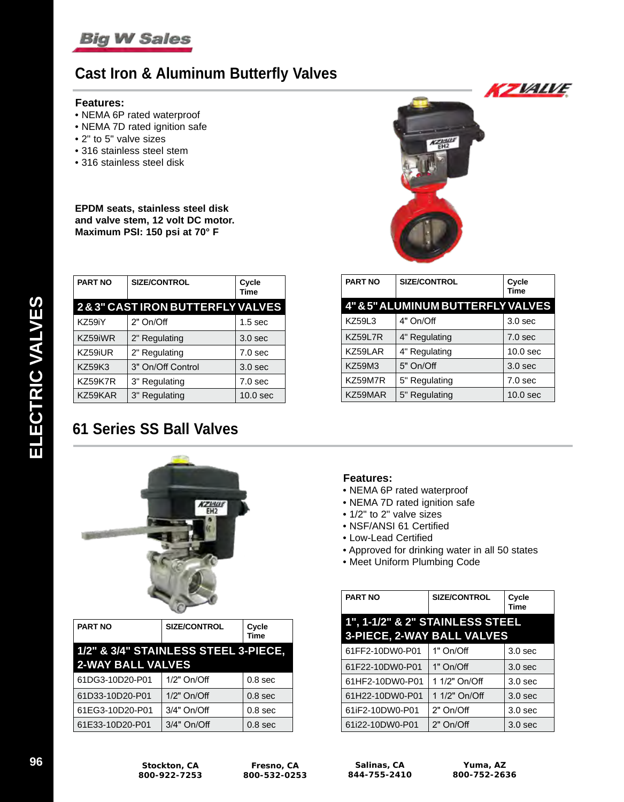

# **Cast Iron & Aluminum Butterfly Valves**

#### **Features:**

- NEMA 6P rated waterproof
- NEMA 7D rated ignition safe
- 2" to 5" valve sizes
- 316 stainless steel stem
- 316 stainless steel disk

**EPDM seats, stainless steel disk and valve stem, 12 volt DC motor. Maximum PSI: 150 psi at 70° F**

| <b>PART NO</b> | <b>SIZE/CONTROL</b>                        | Cycle<br><b>Time</b> |
|----------------|--------------------------------------------|----------------------|
|                | <b>2&amp;3" CAST IRON BUTTERFLY VALVES</b> |                      |
| KZ59iY         | 2" On/Off                                  | 1.5 <sub>sec</sub>   |
| KZ59iWR        | 2" Regulating                              | 3.0 <sub>sec</sub>   |
| KZ59iUR        | 2" Regulating                              | 7.0 <sub>sec</sub>   |
| <b>KZ59K3</b>  | 3" On/Off Control                          | 3.0 <sub>sec</sub>   |
| KZ59K7R        | 3" Regulating                              | 7.0 <sub>sec</sub>   |
| KZ59KAR        | 3" Regulating                              | 10.0 <sub>sec</sub>  |

# **61 Series SS Ball Valves**



| <b>PART NO</b>                       | <b>SIZE/CONTROL</b> | Cycle<br>Time      |
|--------------------------------------|---------------------|--------------------|
| 1/2" & 3/4" STAINLESS STEEL 3-PIECE, |                     |                    |
| <b>2-WAY BALL VALVES</b>             |                     |                    |
| 61DG3-10D20-P01                      | 1/2" On/Off         | 0.8 <sub>sec</sub> |
| 61D33-10D20-P01                      | $1/2"$ On/Off       | 0.8 <sub>sec</sub> |
| 61EG3-10D20-P01                      | 3/4" On/Off         | 0.8 <sub>sec</sub> |
| 61E33-10D20-P01                      | 3/4" On/Off         | 0.8 <sub>sec</sub> |



| <b>PART NO</b> | <b>SIZE/CONTROL</b>                          | Cycle<br>Time       |
|----------------|----------------------------------------------|---------------------|
|                | <b>4" &amp; 5" ALUMINUM BUTTERFLY VALVES</b> |                     |
| <b>KZ59L3</b>  | 4" On/Off                                    | 3.0 <sub>sec</sub>  |
| <b>KZ59L7R</b> | 4" Regulating                                | 7.0 <sub>sec</sub>  |
| KZ59LAR        | 4" Regulating                                | 10.0 <sub>sec</sub> |
| KZ59M3         | 5" On/Off                                    | 3.0 <sub>sec</sub>  |
| KZ59M7R        | 5" Regulating                                | 7.0 <sub>sec</sub>  |
| KZ59MAR        | 5" Regulating                                | 10.0 <sub>sec</sub> |

## **Features:**

- NEMA 6P rated waterproof
- NEMA 7D rated ignition safe
- 1/2" to 2" valve sizes
- NSF/ANSI 61 Certified
- Low-Lead Certified
- Approved for drinking water in all 50 states
- Meet Uniform Plumbing Code

| <b>PART NO</b>                  | <b>SIZE/CONTROL</b> | Cycle<br><b>Time</b> |  |
|---------------------------------|---------------------|----------------------|--|
| 1", 1-1/2" & 2" STAINLESS STEEL |                     |                      |  |
| 3-PIECE, 2-WAY BALL VALVES      |                     |                      |  |
| 61FF2-10DW0-P01                 | $1"$ On/Off         | 3.0 <sub>sec</sub>   |  |
| 61F22-10DW0-P01                 | 1" On/Off           | 3.0 <sub>sec</sub>   |  |
| 61HF2-10DW0-P01                 | 1 1/2" On/Off       | 3.0 <sub>sec</sub>   |  |
| 61H22-10DW0-P01                 | 1 1/2" On/Off       | 3.0 <sub>sec</sub>   |  |
| 61iF2-10DW0-P01                 | 2" On/Off           | 3.0 <sub>sec</sub>   |  |
| 61i22-10DW0-P01                 | 2" On/Off           | 3.0 <sub>sec</sub>   |  |

**Fresno, CA 800-532-0253**

**Salinas, CA 844-755-2410**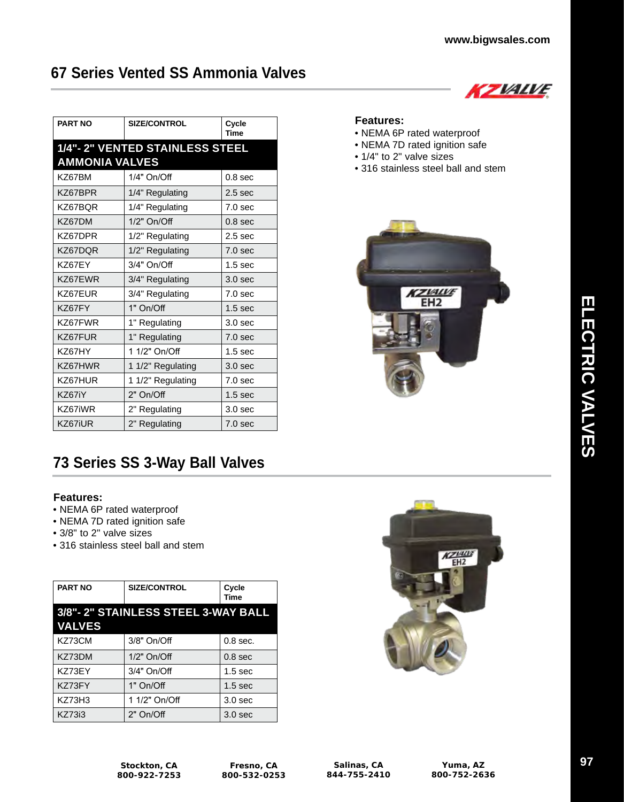KZVALVE

# **67 Series Vented SS Ammonia Valves**

| <b>PART NO</b>        | <b>SIZE/CONTROL</b>            | Cycle<br>Time      |
|-----------------------|--------------------------------|--------------------|
|                       | 1/4"-2" VENTED STAINLESS STEEL |                    |
| <b>AMMONIA VALVES</b> |                                |                    |
| KZ67BM                | 1/4" On/Off                    | 0.8 <sub>sec</sub> |
| KZ67BPR               | 1/4" Regulating                | 2.5 <sub>sec</sub> |
| KZ67BOR               | 1/4" Regulating                | 7.0 <sub>sec</sub> |
| KZ67DM                | 1/2" On/Off                    | 0.8 <sub>sec</sub> |
| KZ67DPR               | 1/2" Regulating                | 2.5 <sub>sec</sub> |
| KZ67DQR               | 1/2" Regulating                | 7.0 <sub>sec</sub> |
| KZ67EY                | 3/4" On/Off                    | 1.5 <sub>sec</sub> |
| KZ67EWR               | 3/4" Regulating                | 3.0 <sub>sec</sub> |
| KZ67EUR               | 3/4" Regulating                | 7.0 <sub>sec</sub> |
| KZ67FY                | 1" On/Off                      | 1.5 <sub>sec</sub> |
| KZ67FWR               | 1" Regulating                  | 3.0 <sub>sec</sub> |
| KZ67FUR               | 1" Regulating                  | 7.0 <sub>sec</sub> |
| KZ67HY                | 1 1/2" On/Off                  | 1.5 <sub>sec</sub> |
| KZ67HWR               | 1 1/2" Regulating              | 3.0 <sub>sec</sub> |
| KZ67HUR               | 1 1/2" Regulating              | 7.0 <sub>sec</sub> |
| KZ67iY                | 2" On/Off                      | 1.5 <sub>sec</sub> |
| KZ67iWR               | 2" Regulating                  | 3.0 <sub>sec</sub> |
| KZ67iUR               | 2" Regulating                  | 7.0 <sub>sec</sub> |

# **73 Series SS 3-Way Ball Valves**

## **Features:**

- NEMA 6P rated waterproof
- NEMA 7D rated ignition safe
- 3/8" to 2" valve sizes
- 316 stainless steel ball and stem

| <b>PART NO</b> | <b>SIZE/CONTROL</b>                | Cycle<br>Time      |
|----------------|------------------------------------|--------------------|
|                | 3/8"-2" STAINLESS STEEL 3-WAY BALL |                    |
| <b>VALVES</b>  |                                    |                    |
| KZ73CM         | 3/8" On/Off                        | $0.8$ sec.         |
| KZ73DM         | $1/2"$ On/Off                      | 0.8 <sub>sec</sub> |
| KZ73EY         | 3/4" On/Off                        | 1.5 <sub>sec</sub> |
| KZ73FY         | 1" On/Off                          | 1.5 <sub>sec</sub> |
| <b>KZ73H3</b>  | 1 1/2" On/Off                      | 3.0 <sub>sec</sub> |
| <b>KZ73i3</b>  | 2" On/Off                          | 3.0 <sub>sec</sub> |



## **Features:**

- NEMA 6P rated waterproof
- NEMA 7D rated ignition safe
- 1/4" to 2" valve sizes
- 316 stainless steel ball and stem



**Stockton, CA 800-922-7253**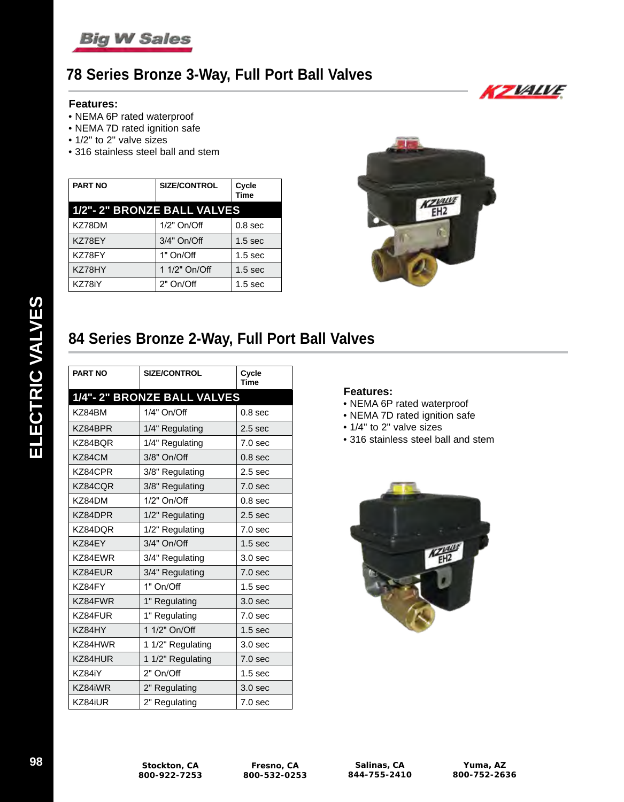

# **78 Series Bronze 3-Way, Full Port Ball Valves**

### **Features:**

- NEMA 6P rated waterproof
- NEMA 7D rated ignition safe
- 1/2" to 2" valve sizes
- 316 stainless steel ball and stem

| <b>PART NO</b>              | <b>SIZE/CONTROL</b> | Cycle<br>Time      |
|-----------------------------|---------------------|--------------------|
| 1/2"- 2" BRONZE BALL VALVES |                     |                    |
| KZ78DM                      | $1/2"$ On/Off       | 0.8 <sub>sec</sub> |
| KZ78EY                      | 3/4" On/Off         | 1.5 <sub>sec</sub> |
| KZ78FY                      | 1" On/Off           | 1.5 <sub>sec</sub> |
| KZ78HY                      | 1 1/2" On/Off       | 1.5 <sub>sec</sub> |
| KZ78iY                      | $2"$ On/Off         | 1.5 <sub>sec</sub> |



# **84 Series Bronze 2-Way, Full Port Ball Valves**

| <b>PART NO</b> | <b>SIZE/CONTROL</b>        | Cycle<br><b>Time</b> |
|----------------|----------------------------|----------------------|
|                | 1/4"-2" BRONZE BALL VALVES |                      |
| KZ84BM         | 1/4" On/Off                | 0.8 <sub>sec</sub>   |
| KZ84BPR        | 1/4" Regulating            | 2.5 <sub>sec</sub>   |
| KZ84BQR        | 1/4" Regulating            | 7.0 <sub>sec</sub>   |
| KZ84CM         | 3/8" On/Off                | 0.8 <sub>sec</sub>   |
| KZ84CPR        | 3/8" Regulating            | 2.5 <sub>sec</sub>   |
| KZ84CQR        | 3/8" Regulating            | 7.0 <sub>sec</sub>   |
| KZ84DM         | $1/2"$ On/Off              | 0.8 <sub>sec</sub>   |
| KZ84DPR        | 1/2" Regulating            | 2.5 <sub>sec</sub>   |
| KZ84DQR        | 1/2" Regulating            | 7.0 <sub>sec</sub>   |
| KZ84EY         | 3/4" On/Off                | 1.5 <sub>sec</sub>   |
| KZ84EWR        | 3/4" Regulating            | 3.0 <sub>sec</sub>   |
| KZ84EUR        | 3/4" Regulating            | 7.0 <sub>sec</sub>   |
| KZ84FY         | 1" On/Off                  | 1.5 <sub>sec</sub>   |
| KZ84FWR        | 1" Regulating              | 3.0 <sub>sec</sub>   |
| KZ84FUR        | 1" Regulating              | 7.0 <sub>sec</sub>   |
| KZ84HY         | 1 1/2" On/Off              | 1.5 <sub>sec</sub>   |
| KZ84HWR        | 1 1/2" Regulating          | 3.0 <sub>sec</sub>   |
| KZ84HUR        | 1 1/2" Regulating          | 7.0 <sub>sec</sub>   |
| KZ84iY         | 2" On/Off                  | 1.5 <sub>sec</sub>   |
| KZ84iWR        | 2" Regulating              | 3.0 <sub>sec</sub>   |
| KZ84iUR        | 2" Regulating              | 7.0 <sub>sec</sub>   |

## **Features:**

- NEMA 6P rated waterproof
- NEMA 7D rated ignition safe
- 1/4" to 2" valve sizes
- 316 stainless steel ball and stem



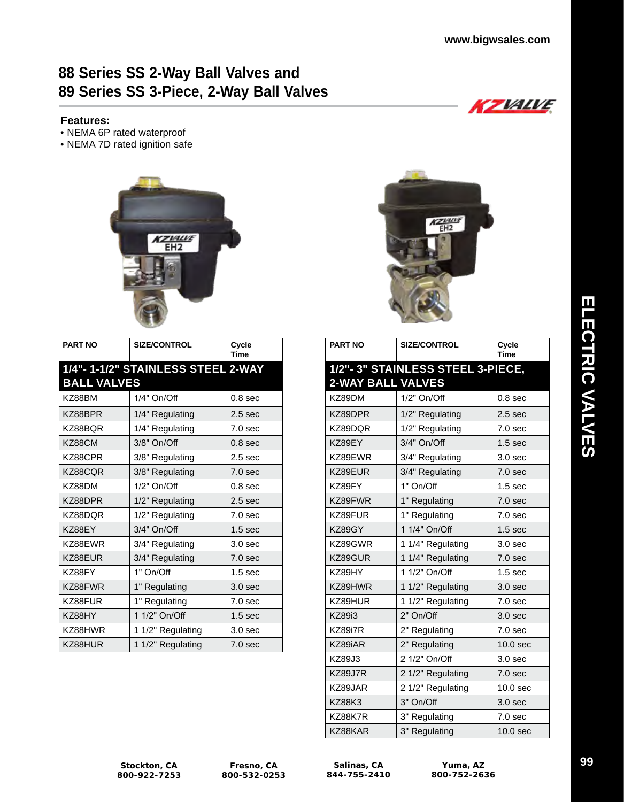KZVALVE

# **88 Series SS 2-Way Ball Valves and 89 Series SS 3-Piece, 2-Way Ball Valves**

## **Features:**

- NEMA 6P rated waterproof
- NEMA 7D rated ignition safe



| <b>PART NO</b>     | <b>SIZE/CONTROL</b>                | Cycle<br><b>Time</b> |
|--------------------|------------------------------------|----------------------|
|                    | 1/4"- 1-1/2" STAINLESS STEEL 2-WAY |                      |
| <b>BALL VALVES</b> |                                    |                      |
| KZ88BM             | 1/4" On/Off                        | 0.8 <sub>sec</sub>   |
| KZ88BPR            | 1/4" Regulating                    | 2.5 <sub>sec</sub>   |
| KZ88BOR            | 1/4" Regulating                    | 7.0 <sub>sec</sub>   |
| KZ88CM             | 3/8" On/Off                        | 0.8 <sub>sec</sub>   |
| KZ88CPR            | 3/8" Regulating                    | 2.5 <sub>sec</sub>   |
| KZ88CQR            | 3/8" Regulating                    | 7.0 <sub>sec</sub>   |
| KZ88DM             | 1/2" On/Off                        | 0.8 <sub>sec</sub>   |
| KZ88DPR            | 1/2" Regulating                    | 2.5 <sub>sec</sub>   |
| KZ88DOR            | 1/2" Regulating                    | 7.0 <sub>sec</sub>   |
| KZ88EY             | 3/4" On/Off                        | 1.5 <sub>sec</sub>   |
| KZ88EWR            | 3/4" Regulating                    | 3.0 <sub>sec</sub>   |
| KZ88EUR            | 3/4" Regulating                    | 7.0 <sub>sec</sub>   |
| KZ88FY             | 1" On/Off                          | 1.5 <sub>sec</sub>   |
| KZ88FWR            | 1" Regulating                      | 3.0 <sub>sec</sub>   |
| KZ88FUR            | 1" Regulating                      | 7.0 <sub>sec</sub>   |
| KZ88HY             | 1 1/2" On/Off                      | 1.5 <sub>sec</sub>   |
| KZ88HWR            | 1 1/2" Regulating                  | 3.0 <sub>sec</sub>   |
| KZ88HUR            | 1 1/2" Regulating                  | 7.0 <sub>sec</sub>   |



| <b>PART NO</b>           | <b>SIZE/CONTROL</b>              | Cycle<br>Time       |
|--------------------------|----------------------------------|---------------------|
| <b>2-WAY BALL VALVES</b> | 1/2"-3" STAINLESS STEEL 3-PIECE, |                     |
| KZ89DM                   | 1/2" On/Off                      | 0.8 <sub>sec</sub>  |
| KZ89DPR                  | 1/2" Regulating                  | 2.5 <sub>sec</sub>  |
| KZ89DQR                  | 1/2" Regulating                  | 7.0 <sub>sec</sub>  |
| KZ89EY                   | 3/4" On/Off                      | 1.5 <sub>sec</sub>  |
| KZ89EWR                  | 3/4" Regulating                  | 3.0 <sub>sec</sub>  |
| KZ89EUR                  | 3/4" Regulating                  | 7.0 <sub>sec</sub>  |
| KZ89FY                   | 1" On/Off                        | 1.5 <sub>sec</sub>  |
| KZ89FWR                  | 1" Regulating                    | 7.0 <sub>sec</sub>  |
| KZ89FUR                  | 1" Regulating                    | 7.0 <sub>sec</sub>  |
| KZ89GY                   | 1 1/4" On/Off                    | 1.5 <sub>sec</sub>  |
| KZ89GWR                  | 1 1/4" Regulating                | 3.0 <sub>sec</sub>  |
| KZ89GUR                  | 1 1/4" Regulating                | 7.0 <sub>sec</sub>  |
| KZ89HY                   | 1 1/2" On/Off                    | 1.5 <sub>sec</sub>  |
| KZ89HWR                  | 1 1/2" Regulating                | 3.0 <sub>sec</sub>  |
| KZ89HUR                  | 1 1/2" Regulating                | 7.0 <sub>sec</sub>  |
| <b>KZ89i3</b>            | 2" On/Off                        | 3.0 <sub>sec</sub>  |
| KZ89i7R                  | 2" Regulating                    | 7.0 <sub>sec</sub>  |
| KZ89iAR                  | 2" Regulating                    | 10.0 <sub>sec</sub> |
| <b>KZ89J3</b>            | 2 1/2" On/Off                    | 3.0 <sub>sec</sub>  |
| KZ89J7R                  | 2 1/2" Regulating                | 7.0 <sub>sec</sub>  |
| KZ89JAR                  | 2 1/2" Regulating                | 10.0 <sub>sec</sub> |
| <b>KZ88K3</b>            | 3" On/Off                        | 3.0 <sub>sec</sub>  |
| KZ88K7R                  | 3" Regulating                    | 7.0 <sub>sec</sub>  |
| KZ88KAR                  | 3" Regulating                    | 10.0 <sub>sec</sub> |

**Stockton, CA 800-922-7253**

**Fresno, CA 800-532-0253**

**Salinas, CA 844-755-2410**

**Yuma, AZ 800-752-2636** **99**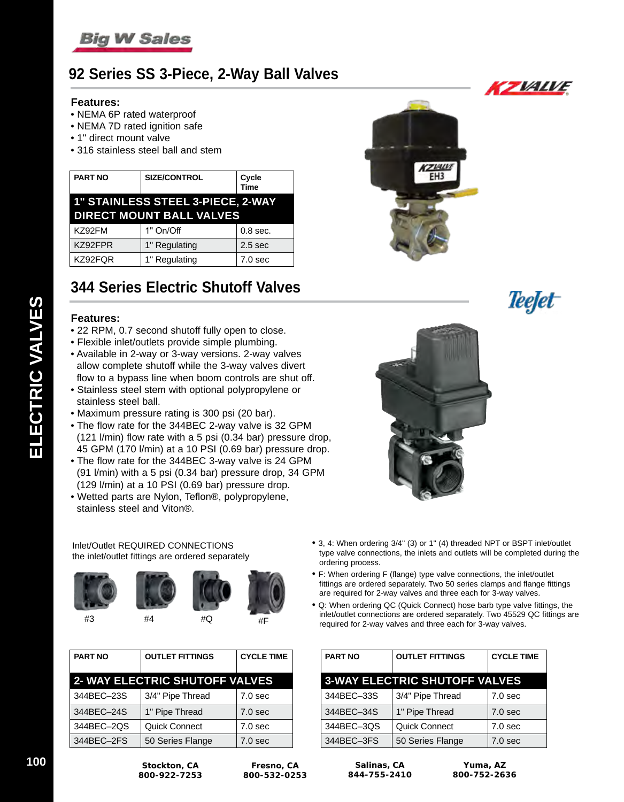

# **92 Series SS 3-Piece, 2-Way Ball Valves**

### **Features:**

- NEMA 6P rated waterproof
- NEMA 7D rated ignition safe
- 1" direct mount valve
- 316 stainless steel ball and stem

| <b>PART NO</b> | <b>SIZE/CONTROL</b>                                                         | Cycle<br>Time      |
|----------------|-----------------------------------------------------------------------------|--------------------|
|                | <b>1" STAINLESS STEEL 3-PIECE, 2-WAY</b><br><b>DIRECT MOUNT BALL VALVES</b> |                    |
| KZ92FM         | 1" On/Off                                                                   | $0.8$ sec.         |
| KZ92FPR        | 1" Regulating                                                               | 2.5 <sub>sec</sub> |
| KZ92FQR        | 1" Regulating                                                               | 7.0 <sub>sec</sub> |

# **344 Series Electric Shutoff Valves**

### **Features:**

- 22 RPM, 0.7 second shutoff fully open to close.
- Flexible inlet/outlets provide simple plumbing.
- Available in 2-way or 3-way versions. 2-way valves allow complete shutoff while the 3-way valves divert flow to a bypass line when boom controls are shut off.
- Stainless steel stem with optional polypropylene or stainless steel ball.
- Maximum pressure rating is 300 psi (20 bar).
- The flow rate for the 344BEC 2-way valve is 32 GPM (121 l/min) flow rate with a 5 psi (0.34 bar) pressure drop, 45 GPM (170 l/min) at a 10 PSI (0.69 bar) pressure drop.
- The flow rate for the 344BEC 3-way valve is 24 GPM (91 l/min) with a 5 psi (0.34 bar) pressure drop, 34 GPM (129 l/min) at a 10 PSI (0.69 bar) pressure drop.
- Wetted parts are Nylon, Teflon®, polypropylene, stainless steel and Viton®.

#### Inlet/Outlet REQUIRED CONNECTIONS the inlet/outlet fittings are ordered separately







| <b>PART NO</b> | <b>OUTLET FITTINGS</b>                | <b>CYCLE TIME</b>  |
|----------------|---------------------------------------|--------------------|
|                | <b>2- WAY ELECTRIC SHUTOFF VALVES</b> |                    |
| 344BEC-23S     | 3/4" Pipe Thread                      | 7.0 <sub>sec</sub> |
| 344BEC-24S     | 1" Pipe Thread                        | 7.0 <sub>sec</sub> |
| 344BEC-2QS     | Quick Connect                         | 7.0 <sub>sec</sub> |
| 344BEC-2FS     | 50 Series Flange                      | 7.0 <sub>sec</sub> |





- 3, 4: When ordering 3/4" (3) or 1" (4) threaded NPT or BSPT inlet/outlet type valve connections, the inlets and outlets will be completed during the ordering process.
- F: When ordering F (flange) type valve connections, the inlet/outlet fittings are ordered separately. Two 50 series clamps and flange fittings are required for 2-way valves and three each for 3-way valves.
- Q: When ordering QC (Quick Connect) hose barb type valve fittings, the inlet/outlet connections are ordered separately. Two 45529 QC fittings are required for 2-way valves and three each for 3-way valves.

| <b>PART NO</b>                       | <b>OUTLET FITTINGS</b> | <b>CYCLE TIME</b>  |
|--------------------------------------|------------------------|--------------------|
| <b>3-WAY ELECTRIC SHUTOFF VALVES</b> |                        |                    |
| 344BEC-33S                           | 3/4" Pipe Thread       | 7.0 <sub>sec</sub> |
| 344BEC-34S                           | 1" Pipe Thread         | 7.0 <sub>sec</sub> |
| 344BEC-3QS                           | Quick Connect          | 7.0 <sub>sec</sub> |
| 344BEC-3FS                           | 50 Series Flange       | 7.0 <sub>sec</sub> |

**100 Stockton, CA 800-922-7253**

**Fresno, CA 800-532-0253**

**Salinas, CA 844-755-2410**

**Yuma, AZ 800-752-2636**



*Teefet*